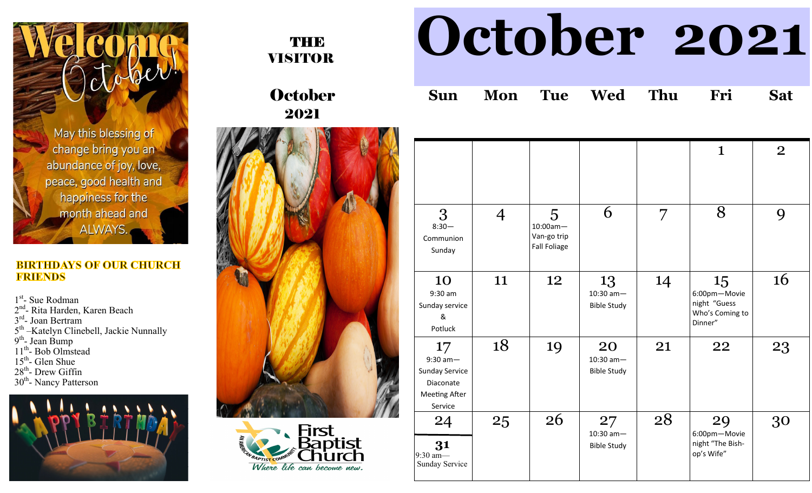May this blessing of change bring you an abundance of joy, love, peace, good health and happiness for the month ahead and ALWAYS.

## **BIRTHDAYS OF OUR CHURCH FRIENDS**

1st- Sue Rodman

2<sup>nd</sup>- Rita Harden, Karen Beach

3<sup>rd</sup>- Joan Bertram

5<sup>th</sup> –Katelyn Clinebell, Jackie Nunnally

9<sup>th</sup>- Jean Bump

- 11<sup>th</sup>- Bob Olmstead
- 15<sup>th</sup>- Glen Shue
- $28<sup>th</sup>$  Drew Giffin
- 30<sup>th</sup>- Nancy Patterson





October 2021





## **October 2021**

|  |  |  |  |  | Sun Mon Tue Wed Thu Fri Sat |  |
|--|--|--|--|--|-----------------------------|--|
|--|--|--|--|--|-----------------------------|--|

|                                                                                           |                |                                                        |                                         |    | $\mathbf 1$                                                      | $\overline{2}$ |
|-------------------------------------------------------------------------------------------|----------------|--------------------------------------------------------|-----------------------------------------|----|------------------------------------------------------------------|----------------|
| 3<br>$8:30-$<br>Communion<br>Sunday                                                       | $\overline{4}$ | 5<br>$10:00am -$<br>Van-go trip<br><b>Fall Foliage</b> | 6                                       | 7  | 8                                                                | 9              |
| 10<br>$9:30$ am<br>Sunday service<br>&<br>Potluck                                         | 11             | 12                                                     | 13<br>$10:30$ am-<br><b>Bible Study</b> | 14 | 15<br>6:00pm-Movie<br>night "Guess<br>Who's Coming to<br>Dinner" | 16             |
| 17<br>$9:30$ am-<br><b>Sunday Service</b><br>Diaconate<br><b>Meeting After</b><br>Service | 18             | 19                                                     | 20<br>$10:30$ am-<br><b>Bible Study</b> | 21 | 22                                                               | 23             |
| 24<br>31<br>$9:30$ am-<br>Sunday Service                                                  | 25             | 26                                                     | 27<br>$10:30$ am-<br><b>Bible Study</b> | 28 | 29<br>6:00pm-Movie<br>night "The Bish-<br>op's Wife"             | 30             |